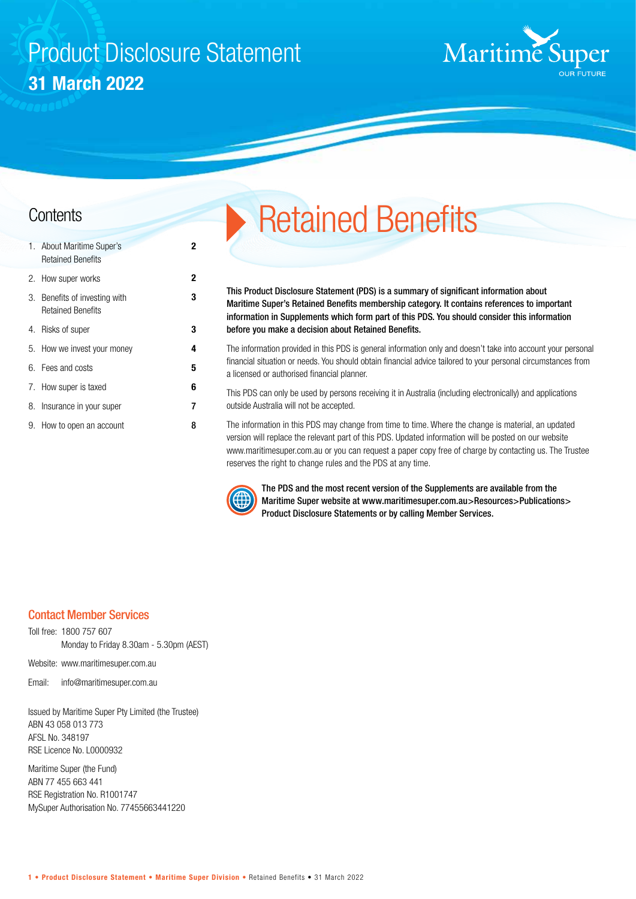# Product Disclosure Statement **31 March 2022**

**2**

**3**



| 1. About Maritime Super's<br><b>Retained Benefits</b>     | 2 |
|-----------------------------------------------------------|---|
| 2. How super works                                        | 2 |
| 3. Benefits of investing with<br><b>Retained Benefits</b> | 3 |
| 4. Risks of super                                         | 3 |
| 5. How we invest your money                               | 4 |
| 6. Fees and costs                                         | 5 |
| 7. How super is taxed                                     | 6 |
| 8. Insurance in your super                                | 7 |
| 9. How to open an account                                 | 8 |

# **Contents** Retained Benefits

This Product Disclosure Statement (PDS) is a summary of significant information about Maritime Super's Retained Benefits membership category. It contains references to important information in Supplements which form part of this PDS. You should consider this information before you make a decision about Retained Benefits.

The information provided in this PDS is general information only and doesn't take into account your personal financial situation or needs. You should obtain financial advice tailored to your personal circumstances from a licensed or authorised financial planner.

This PDS can only be used by persons receiving it in Australia (including electronically) and applications outside Australia will not be accepted.

The information in this PDS may change from time to time. Where the change is material, an updated version will replace the relevant part of this PDS. Updated information will be posted on our website www.maritimesuper.com.au or you can request a paper copy free of charge by contacting us. The Trustee reserves the right to change rules and the PDS at any time.



The PDS and the most recent version of the Supplements are available from the Maritime Super website at www.maritimesuper.com.au>Resources>Publications> Product Disclosure Statements or by calling Member Services.

# Contact Member Services

Toll free: 1800 757 607 Monday to Friday 8.30am - 5.30pm (AEST)

Website: www.maritimesuper.com.au

Email: info@maritimesuper.com.au

Issued by Maritime Super Pty Limited (the Trustee) ABN 43 058 013 773 AFSL No. 348197 RSE Licence No. L0000932

Maritime Super (the Fund) ABN 77 455 663 441 RSE Registration No. R1001747 MySuper Authorisation No. 77455663441220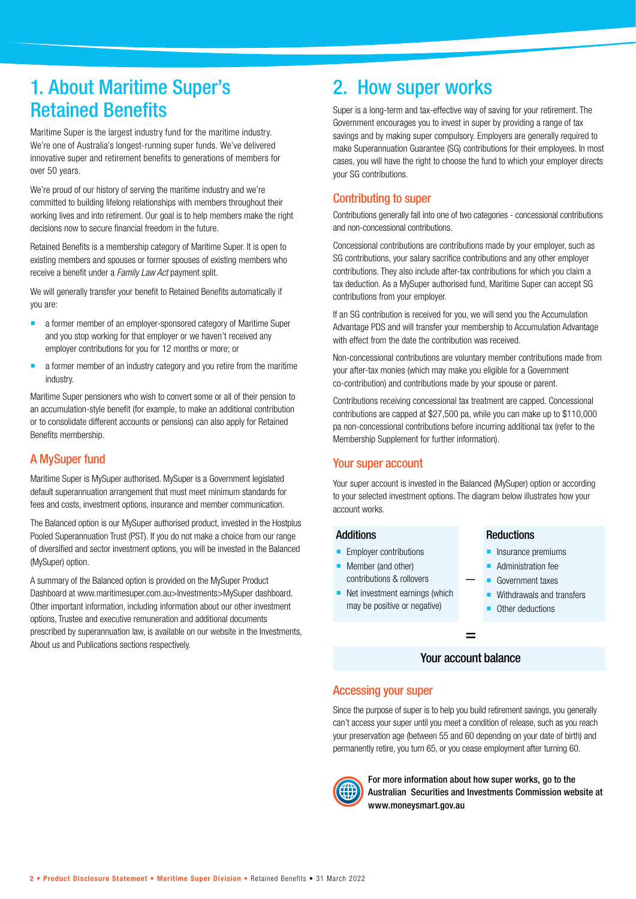# 1. About Maritime Super's Retained Benefits

Maritime Super is the largest industry fund for the maritime industry. We're one of Australia's longest-running super funds. We've delivered innovative super and retirement benefits to generations of members for over 50 years.

We're proud of our history of serving the maritime industry and we're committed to building lifelong relationships with members throughout their working lives and into retirement. Our goal is to help members make the right decisions now to secure financial freedom in the future.

Retained Benefits is a membership category of Maritime Super. It is open to existing members and spouses or former spouses of existing members who receive a benefit under a *Family Law Act* payment split.

We will generally transfer your benefit to Retained Benefits automatically if you are:

- **a** a former member of an employer-sponsored category of Maritime Super and you stop working for that employer or we haven't received any employer contributions for you for 12 months or more; or
- **a** a former member of an industry category and you retire from the maritime industry.

Maritime Super pensioners who wish to convert some or all of their pension to an accumulation-style benefit (for example, to make an additional contribution or to consolidate different accounts or pensions) can also apply for Retained Benefits membership.

# A MySuper fund

Maritime Super is MySuper authorised. MySuper is a Government legislated default superannuation arrangement that must meet minimum standards for fees and costs, investment options, insurance and member communication.

The Balanced option is our MySuper authorised product, invested in the Hostplus Pooled Superannuation Trust (PST). If you do not make a choice from our range of diversified and sector investment options, you will be invested in the Balanced (MySuper) option.

A summary of the Balanced option is provided on the MySuper Product Dashboard at www.maritimesuper.com.au>Investments>MySuper dashboard. Other important information, including information about our other investment options, Trustee and executive remuneration and additional documents prescribed by superannuation law, is available on our website in the Investments, About us and Publications sections respectively.

# 2. How super works

Super is a long-term and tax-effective way of saving for your retirement. The Government encourages you to invest in super by providing a range of tax savings and by making super compulsory. Employers are generally required to make Superannuation Guarantee (SG) contributions for their employees. In most cases, you will have the right to choose the fund to which your employer directs your SG contributions.

# Contributing to super

Contributions generally fall into one of two categories - concessional contributions and non-concessional contributions.

Concessional contributions are contributions made by your employer, such as SG contributions, your salary sacrifice contributions and any other employer contributions. They also include after-tax contributions for which you claim a tax deduction. As a MySuper authorised fund, Maritime Super can accept SG contributions from your employer.

If an SG contribution is received for you, we will send you the Accumulation Advantage PDS and will transfer your membership to Accumulation Advantage with effect from the date the contribution was received.

Non-concessional contributions are voluntary member contributions made from your after-tax monies (which may make you eligible for a Government co-contribution) and contributions made by your spouse or parent.

Contributions receiving concessional tax treatment are capped. Concessional contributions are capped at \$27,500 pa, while you can make up to \$110,000 pa non-concessional contributions before incurring additional tax (refer to the Membership Supplement for further information).

### Your super account

Your super account is invested in the Balanced (MySuper) option or according to your selected investment options. The diagram below illustrates how your account works.

#### **Additions**

- Employer contributions
- **Member (and other)** contributions & rollovers
- Net investment earnings (which may be positive or negative)

#### **Reductions**

- Insurance premiums
- Administration fee
- Government taxes
- Withdrawals and transfers
- Other deductions

#### Your account balance

=

 **\_**

#### Accessing your super

Since the purpose of super is to help you build retirement savings, you generally can't access your super until you meet a condition of release, such as you reach your preservation age (between 55 and 60 depending on your date of birth) and permanently retire, you turn 65, or you cease employment after turning 60.



For more information about how super works, go to the Australian Securities and Investments Commission website at www.moneysmart.gov.au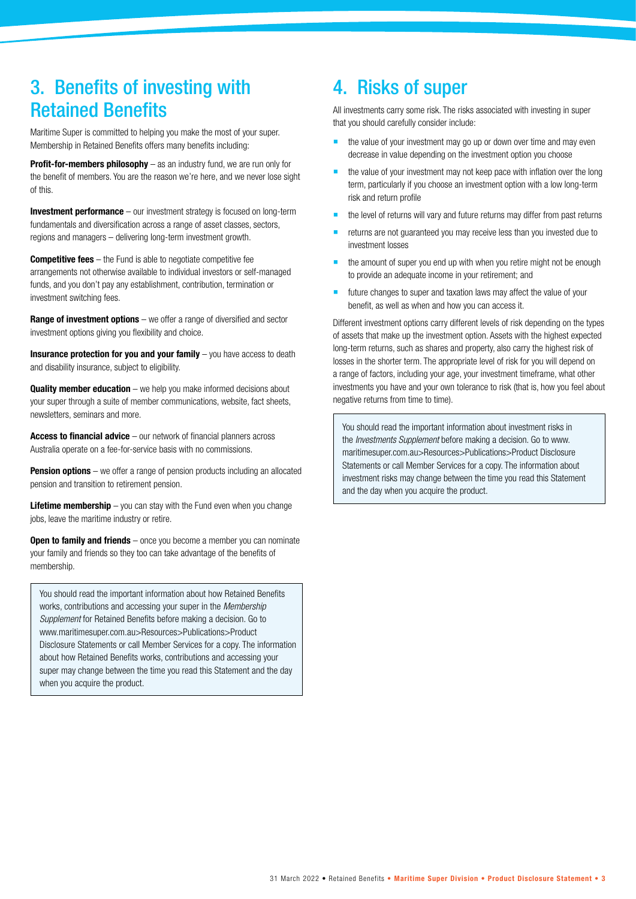# 3. Benefits of investing with Retained Benefits

Maritime Super is committed to helping you make the most of your super. Membership in Retained Benefits offers many benefits including:

**Profit-for-members philosophy** – as an industry fund, we are run only for the benefit of members. You are the reason we're here, and we never lose sight of this.

**Investment performance** – our investment strategy is focused on long-term fundamentals and diversification across a range of asset classes, sectors, regions and managers – delivering long-term investment growth.

**Competitive fees** – the Fund is able to negotiate competitive fee arrangements not otherwise available to individual investors or self-managed funds, and you don't pay any establishment, contribution, termination or investment switching fees.

**Range of investment options** – we offer a range of diversified and sector investment options giving you flexibility and choice.

**Insurance protection for you and your family** – you have access to death and disability insurance, subject to eligibility.

**Quality member education** – we help you make informed decisions about your super through a suite of member communications, website, fact sheets, newsletters, seminars and more.

**Access to financial advice** – our network of financial planners across Australia operate on a fee-for-service basis with no commissions.

**Pension options** – we offer a range of pension products including an allocated pension and transition to retirement pension.

**Lifetime membership** – you can stay with the Fund even when you change jobs, leave the maritime industry or retire.

**Open to family and friends** – once you become a member you can nominate your family and friends so they too can take advantage of the benefits of membership.

You should read the important information about how Retained Benefits works, contributions and accessing your super in the *Membership Supplement* for Retained Benefits before making a decision. Go to www.maritimesuper.com.au>Resources>Publications>Product Disclosure Statements or call Member Services for a copy. The information about how Retained Benefits works, contributions and accessing your super may change between the time you read this Statement and the day when you acquire the product.

# 4. Risks of super

All investments carry some risk. The risks associated with investing in super that you should carefully consider include:

- the value of your investment may go up or down over time and may even decrease in value depending on the investment option you choose
- the value of your investment may not keep pace with inflation over the long term, particularly if you choose an investment option with a low long-term risk and return profile
- the level of returns will vary and future returns may differ from past returns
- returns are not guaranteed you may receive less than you invested due to investment losses
- the amount of super you end up with when you retire might not be enough to provide an adequate income in your retirement; and
- future changes to super and taxation laws may affect the value of your benefit, as well as when and how you can access it.

Different investment options carry different levels of risk depending on the types of assets that make up the investment option. Assets with the highest expected long-term returns, such as shares and property, also carry the highest risk of losses in the shorter term. The appropriate level of risk for you will depend on a range of factors, including your age, your investment timeframe, what other investments you have and your own tolerance to risk (that is, how you feel about negative returns from time to time).

You should read the important information about investment risks in the *Investments Supplement* before making a decision. Go to www. maritimesuper.com.au>Resources>Publications>Product Disclosure Statements or call Member Services for a copy. The information about investment risks may change between the time you read this Statement and the day when you acquire the product.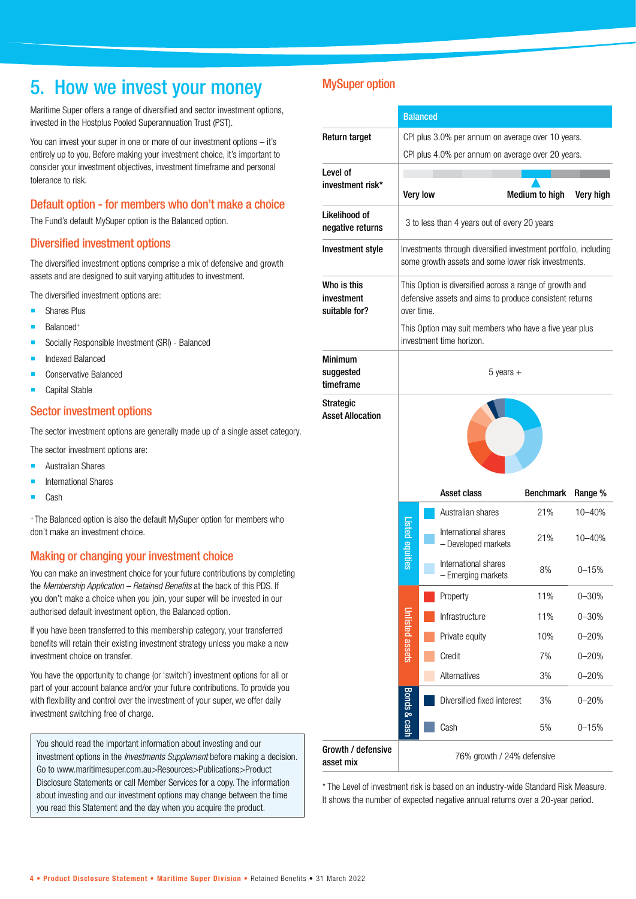# 5. How we invest your money

Maritime Super offers a range of diversified and sector investment options, invested in the Hostplus Pooled Superannuation Trust (PST).

You can invest your super in one or more of our investment options – it's entirely up to you. Before making your investment choice, it's important to consider your investment objectives, investment timeframe and personal tolerance to risk.

### Default option - for members who don't make a choice

The Fund's default MySuper option is the Balanced option.

#### Diversified investment options

The diversified investment options comprise a mix of defensive and growth assets and are designed to suit varying attitudes to investment.

The diversified investment options are:

- **Shares Plus**
- Balanced+
- **Socially Responsible Investment (SRI) Balanced**
- Indexed Balanced
- Conservative Balanced
- Capital Stable

### Sector investment options

The sector investment options are generally made up of a single asset category.

- The sector investment options are:
- Australian Shares
- International Shares
- Cash

+ The Balanced option is also the default MySuper option for members who don't make an investment choice.

#### Making or changing your investment choice

You can make an investment choice for your future contributions by completing the *Membership Application – Retained Benefits* at the back of this PDS. If you don't make a choice when you join, your super will be invested in our authorised default investment option, the Balanced option.

If you have been transferred to this membership category, your transferred benefits will retain their existing investment strategy unless you make a new investment choice on transfer.

You have the opportunity to change (or 'switch') investment options for all or part of your account balance and/or your future contributions. To provide you with flexibility and control over the investment of your super, we offer daily investment switching free of charge.

You should read the important information about investing and our investment options in the *Investments Supplement* before making a decision. Go to www.maritimesuper.com.au>Resources>Publications>Product Disclosure Statements or call Member Services for a copy. The information about investing and our investment options may change between the time you read this Statement and the day when you acquire the product.

# MySuper option

|                                            | <b>Balanced</b>                                   |                 |                                                                                                                        |                |            |  |  |
|--------------------------------------------|---------------------------------------------------|-----------------|------------------------------------------------------------------------------------------------------------------------|----------------|------------|--|--|
| Return target                              | CPI plus 3.0% per annum on average over 10 years. |                 |                                                                                                                        |                |            |  |  |
|                                            | CPI plus 4.0% per annum on average over 20 years. |                 |                                                                                                                        |                |            |  |  |
| Level of                                   |                                                   |                 |                                                                                                                        |                |            |  |  |
| investment risk*                           |                                                   | <b>Very low</b> |                                                                                                                        | Medium to high | Very high  |  |  |
| Likelihood of<br>negative returns          |                                                   |                 | 3 to less than 4 years out of every 20 years                                                                           |                |            |  |  |
| Investment style                           |                                                   |                 | Investments through diversified investment portfolio, including<br>some growth assets and some lower risk investments. |                |            |  |  |
| Who is this<br>investment<br>suitable for? | over time.                                        |                 | This Option is diversified across a range of growth and<br>defensive assets and aims to produce consistent returns     |                |            |  |  |
|                                            |                                                   |                 | This Option may suit members who have a five year plus<br>investment time horizon.                                     |                |            |  |  |
| <b>Minimum</b><br>suggested<br>timeframe   | $5$ years $+$                                     |                 |                                                                                                                        |                |            |  |  |
| <b>Asset Allocation</b>                    | <b>Asset class</b><br><b>Benchmark</b><br>Range % |                 |                                                                                                                        |                |            |  |  |
|                                            | Listed equities                                   |                 | Australian shares                                                                                                      | 21%            | 10-40%     |  |  |
|                                            |                                                   |                 | International shares<br>- Developed markets                                                                            | 21%            | $10 - 40%$ |  |  |
|                                            |                                                   |                 | International shares<br>- Emerging markets                                                                             | 8%             | $0 - 15%$  |  |  |
|                                            |                                                   |                 | Property                                                                                                               | 11%            | $0 - 30%$  |  |  |
|                                            |                                                   |                 | Infrastructure                                                                                                         | 11%            | $0 - 30%$  |  |  |
|                                            | Inlisted assets                                   |                 | Private equity                                                                                                         | 10%            | $0 - 20%$  |  |  |
|                                            |                                                   |                 | Credit                                                                                                                 | 7%             | $0 - 20%$  |  |  |
|                                            |                                                   |                 | Alternatives                                                                                                           | 3%             | $0 - 20%$  |  |  |
|                                            | <b>Bonds &amp; cash</b>                           |                 | Diversified fixed interest                                                                                             | 3%             | $0 - 20%$  |  |  |
|                                            |                                                   |                 | Cash                                                                                                                   | 5%             | $0 - 15%$  |  |  |
| Growth / defensive<br>asset mix            | 76% growth / 24% defensive                        |                 |                                                                                                                        |                |            |  |  |

\* The Level of investment risk is based on an industry-wide Standard Risk Measure. It shows the number of expected negative annual returns over a 20-year period.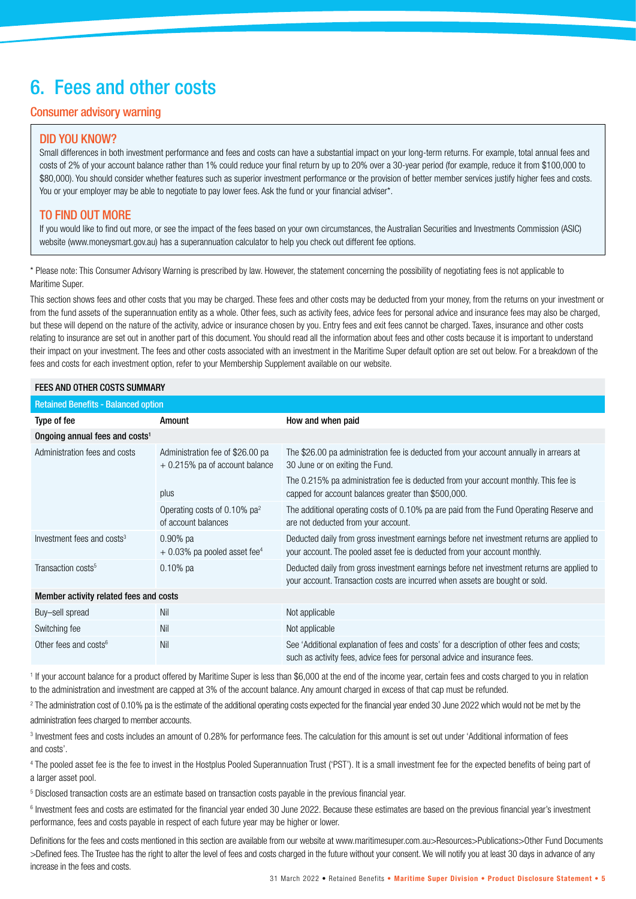# 6. Fees and other costs

# Consumer advisory warning

#### DID YOU KNOW?

Small differences in both investment performance and fees and costs can have a substantial impact on your long-term returns. For example, total annual fees and costs of 2% of your account balance rather than 1% could reduce your final return by up to 20% over a 30-year period (for example, reduce it from \$100,000 to \$80,000). You should consider whether features such as superior investment performance or the provision of better member services justify higher fees and costs. You or your employer may be able to negotiate to pay lower fees. Ask the fund or your financial adviser\*.

### TO FIND OUT MORE

If you would like to find out more, or see the impact of the fees based on your own circumstances, the Australian Securities and Investments Commission (ASIC) website (www.moneysmart.gov.au) has a superannuation calculator to help you check out different fee options.

\* Please note: This Consumer Advisory Warning is prescribed by law. However, the statement concerning the possibility of negotiating fees is not applicable to Maritime Super.

This section shows fees and other costs that you may be charged. These fees and other costs may be deducted from your money, from the returns on your investment or from the fund assets of the superannuation entity as a whole. Other fees, such as activity fees, advice fees for personal advice and insurance fees may also be charged, but these will depend on the nature of the activity, advice or insurance chosen by you. Entry fees and exit fees cannot be charged. Taxes, insurance and other costs relating to insurance are set out in another part of this document. You should read all the information about fees and other costs because it is important to understand their impact on your investment. The fees and other costs associated with an investment in the Maritime Super default option are set out below. For a breakdown of the fees and costs for each investment option, refer to your Membership Supplement available on our website.

#### FEES AND OTHER COSTS SUMMARY

| <b>Retained Benefits - Balanced option</b> |                                                                     |                                                                                                                                                                            |  |  |  |  |  |
|--------------------------------------------|---------------------------------------------------------------------|----------------------------------------------------------------------------------------------------------------------------------------------------------------------------|--|--|--|--|--|
| Type of fee                                | Amount                                                              | How and when paid                                                                                                                                                          |  |  |  |  |  |
| Ongoing annual fees and costs <sup>1</sup> |                                                                     |                                                                                                                                                                            |  |  |  |  |  |
| Administration fees and costs              | Administration fee of \$26.00 pa<br>$+0.215%$ pa of account balance | The \$26.00 pa administration fee is deducted from your account annually in arrears at<br>30 June or on exiting the Fund.                                                  |  |  |  |  |  |
|                                            | plus                                                                | The 0.215% pa administration fee is deducted from your account monthly. This fee is<br>capped for account balances greater than \$500,000.                                 |  |  |  |  |  |
|                                            | Operating costs of 0.10% $pa^2$<br>of account balances              | The additional operating costs of 0.10% pa are paid from the Fund Operating Reserve and<br>are not deducted from your account.                                             |  |  |  |  |  |
| Investment fees and costs <sup>3</sup>     | $0.90\%$ pa<br>$+0.03\%$ pa pooled asset fee <sup>4</sup>           | Deducted daily from gross investment earnings before net investment returns are applied to<br>your account. The pooled asset fee is deducted from your account monthly.    |  |  |  |  |  |
| Transaction costs <sup>5</sup>             | $0.10\%$ pa                                                         | Deducted daily from gross investment earnings before net investment returns are applied to<br>your account. Transaction costs are incurred when assets are bought or sold. |  |  |  |  |  |
| Member activity related fees and costs     |                                                                     |                                                                                                                                                                            |  |  |  |  |  |
| Buy-sell spread                            | Nil                                                                 | Not applicable                                                                                                                                                             |  |  |  |  |  |
| Switching fee                              | Nil                                                                 | Not applicable                                                                                                                                                             |  |  |  |  |  |
| Other fees and costs $6$                   | Nil                                                                 | See 'Additional explanation of fees and costs' for a description of other fees and costs;<br>such as activity fees, advice fees for personal advice and insurance fees.    |  |  |  |  |  |

<sup>1</sup> If your account balance for a product offered by Maritime Super is less than \$6,000 at the end of the income year, certain fees and costs charged to you in relation to the administration and investment are capped at 3% of the account balance. Any amount charged in excess of that cap must be refunded.

<sup>2</sup> The administration cost of 0.10% pa is the estimate of the additional operating costs expected for the financial year ended 30 June 2022 which would not be met by the administration fees charged to member accounts.

<sup>3</sup> Investment fees and costs includes an amount of 0.28% for performance fees. The calculation for this amount is set out under 'Additional information of fees and costs'.

4 The pooled asset fee is the fee to invest in the Hostplus Pooled Superannuation Trust ('PST'). It is a small investment fee for the expected benefits of being part of a larger asset pool.

5 Disclosed transaction costs are an estimate based on transaction costs payable in the previous financial year.

<sup>6</sup> Investment fees and costs are estimated for the financial year ended 30 June 2022. Because these estimates are based on the previous financial year's investment performance, fees and costs payable in respect of each future year may be higher or lower.

Definitions for the fees and costs mentioned in this section are available from our website at www.maritimesuper.com.au>Resources>Publications>Other Fund Documents >Defined fees. The Trustee has the right to alter the level of fees and costs charged in the future without your consent. We will notify you at least 30 days in advance of any increase in the fees and costs.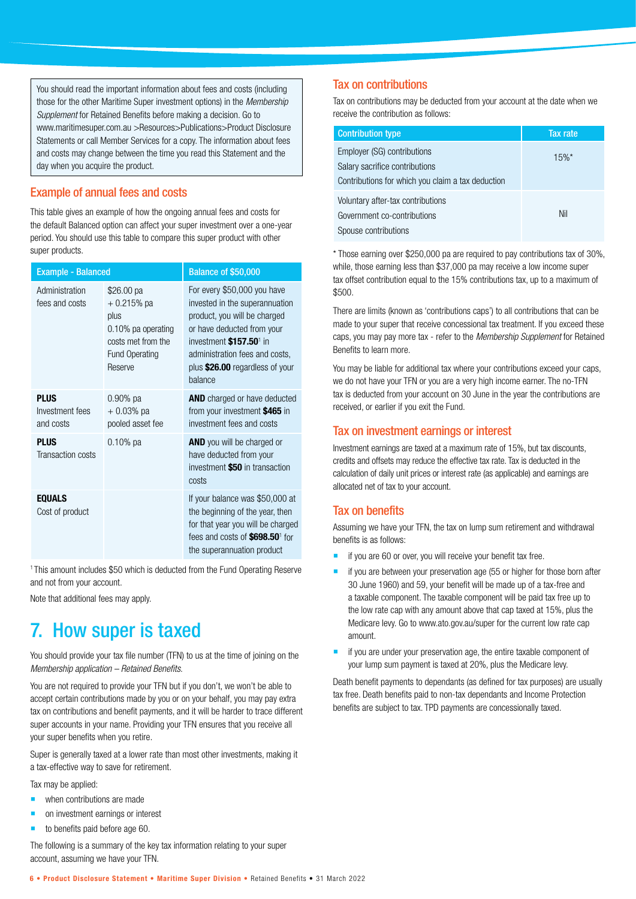You should read the important information about fees and costs (including those for the other Maritime Super investment options) in the *Membership Supplement* for Retained Benefits before making a decision. Go to www.maritimesuper.com.au >Resources>Publications>Product Disclosure Statements or call Member Services for a copy. The information about fees and costs may change between the time you read this Statement and the day when you acquire the product.

### Example of annual fees and costs

This table gives an example of how the ongoing annual fees and costs for the default Balanced option can affect your super investment over a one-year period. You should use this table to compare this super product with other super products.

| <b>Example - Balanced</b>                   |                                                                                                                    | Balance of \$50,000                                                                                                                                                                                                                                |  |  |  |
|---------------------------------------------|--------------------------------------------------------------------------------------------------------------------|----------------------------------------------------------------------------------------------------------------------------------------------------------------------------------------------------------------------------------------------------|--|--|--|
| Administration<br>fees and costs            | \$26.00 pa<br>$+0.215%$ pa<br>plus<br>0.10% pa operating<br>costs met from the<br><b>Fund Operating</b><br>Reserve | For every \$50,000 you have<br>invested in the superannuation<br>product, you will be charged<br>or have deducted from your<br>investment \$157.50 <sup>1</sup> in<br>administration fees and costs,<br>plus \$26.00 regardless of your<br>balance |  |  |  |
| <b>PLUS</b><br>Investment fees<br>and costs | $0.90\%$ pa<br>$+0.03%$ pa<br>pooled asset fee                                                                     | <b>AND</b> charged or have deducted<br>from your investment \$465 in<br>investment fees and costs                                                                                                                                                  |  |  |  |
| <b>PLUS</b><br>Transaction costs            | $0.10\%$ pa                                                                                                        | <b>AND</b> you will be charged or<br>have deducted from your<br>investment \$50 in transaction<br>costs                                                                                                                                            |  |  |  |
| <b>EQUALS</b><br>Cost of product            |                                                                                                                    | If your balance was \$50,000 at<br>the beginning of the year, then<br>for that year you will be charged<br>fees and costs of \$698.50 <sup>1</sup> for<br>the superannuation product                                                               |  |  |  |

<sup>1</sup> This amount includes \$50 which is deducted from the Fund Operating Reserve and not from your account.

Note that additional fees may apply.

# 7. How super is taxed

You should provide your tax file number (TFN) to us at the time of joining on the *Membership application – Retained Benefits*.

You are not required to provide your TFN but if you don't, we won't be able to accept certain contributions made by you or on your behalf, you may pay extra tax on contributions and benefit payments, and it will be harder to trace different super accounts in your name. Providing your TFN ensures that you receive all your super benefits when you retire.

Super is generally taxed at a lower rate than most other investments, making it a tax-effective way to save for retirement.

Tax may be applied:

- **when contributions are made**
- on investment earnings or interest
- to benefits paid before age 60.

The following is a summary of the key tax information relating to your super account, assuming we have your TFN.

### Tax on contributions

Tax on contributions may be deducted from your account at the date when we receive the contribution as follows:

| <b>Contribution type</b>                                                                                           | Tax rate |
|--------------------------------------------------------------------------------------------------------------------|----------|
| Employer (SG) contributions<br>Salary sacrifice contributions<br>Contributions for which you claim a tax deduction | $15%$ *  |
| Voluntary after-tax contributions<br>Government co-contributions<br>Spouse contributions                           | Nil      |

\* Those earning over \$250,000 pa are required to pay contributions tax of 30%, while, those earning less than \$37,000 pa may receive a low income super tax offset contribution equal to the 15% contributions tax, up to a maximum of \$500.

There are limits (known as 'contributions caps') to all contributions that can be made to your super that receive concessional tax treatment. If you exceed these caps, you may pay more tax - refer to the *Membership Supplement* for Retained Benefits to learn more.

You may be liable for additional tax where your contributions exceed your caps, we do not have your TFN or you are a very high income earner. The no-TFN tax is deducted from your account on 30 June in the year the contributions are received, or earlier if you exit the Fund.

#### Tax on investment earnings or interest

Investment earnings are taxed at a maximum rate of 15%, but tax discounts, credits and offsets may reduce the effective tax rate. Tax is deducted in the calculation of daily unit prices or interest rate (as applicable) and earnings are allocated net of tax to your account.

### Tax on benefits

Assuming we have your TFN, the tax on lump sum retirement and withdrawal benefits is as follows:

- if you are 60 or over, you will receive your benefit tax free.
- $\blacksquare$  if you are between your preservation age (55 or higher for those born after 30 June 1960) and 59, your benefit will be made up of a tax-free and a taxable component. The taxable component will be paid tax free up to the low rate cap with any amount above that cap taxed at 15%, plus the Medicare levy. Go to www.ato.gov.au/super for the current low rate cap amount.
- if you are under your preservation age, the entire taxable component of your lump sum payment is taxed at 20%, plus the Medicare levy.

Death benefit payments to dependants (as defined for tax purposes) are usually tax free. Death benefits paid to non-tax dependants and Income Protection benefits are subject to tax. TPD payments are concessionally taxed.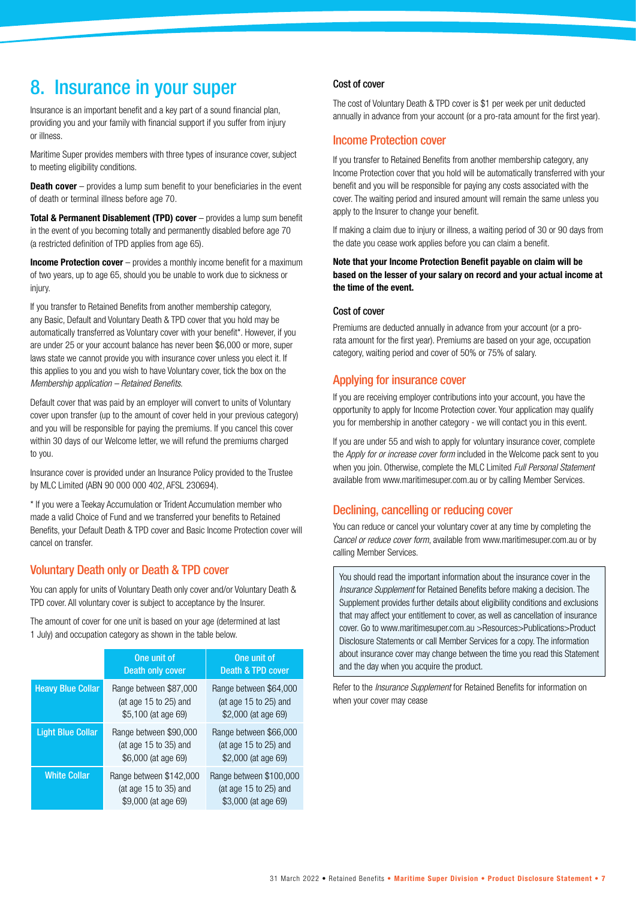# 8. Insurance in your super

Insurance is an important benefit and a key part of a sound financial plan, providing you and your family with financial support if you suffer from injury or illness.

Maritime Super provides members with three types of insurance cover, subject to meeting eligibility conditions.

**Death cover** – provides a lump sum benefit to your beneficiaries in the event of death or terminal illness before age 70.

**Total & Permanent Disablement (TPD) cover** – provides a lump sum benefit in the event of you becoming totally and permanently disabled before age 70 (a restricted definition of TPD applies from age 65).

**Income Protection cover** – provides a monthly income benefit for a maximum of two years, up to age 65, should you be unable to work due to sickness or injury.

If you transfer to Retained Benefits from another membership category, any Basic, Default and Voluntary Death & TPD cover that you hold may be automatically transferred as Voluntary cover with your benefit\*. However, if you are under 25 or your account balance has never been \$6,000 or more, super laws state we cannot provide you with insurance cover unless you elect it. If this applies to you and you wish to have Voluntary cover, tick the box on the *Membership application – Retained Benefits*.

Default cover that was paid by an employer will convert to units of Voluntary cover upon transfer (up to the amount of cover held in your previous category) and you will be responsible for paying the premiums. If you cancel this cover within 30 days of our Welcome letter, we will refund the premiums charged to you.

Insurance cover is provided under an Insurance Policy provided to the Trustee by MLC Limited (ABN 90 000 000 402, AFSL 230694).

\* If you were a Teekay Accumulation or Trident Accumulation member who made a valid Choice of Fund and we transferred your benefits to Retained Benefits, your Default Death & TPD cover and Basic Income Protection cover will cancel on transfer.

# Voluntary Death only or Death & TPD cover

You can apply for units of Voluntary Death only cover and/or Voluntary Death & TPD cover. All voluntary cover is subject to acceptance by the Insurer.

The amount of cover for one unit is based on your age (determined at last 1 July) and occupation category as shown in the table below.

|                          | One unit of<br>Death only cover                                             | One unit of<br><b>Death &amp; TPD cover</b>                                 |
|--------------------------|-----------------------------------------------------------------------------|-----------------------------------------------------------------------------|
| <b>Heavy Blue Collar</b> | Range between \$87,000<br>(at age 15 to 25) and<br>\$5,100 (at age 69)      | Range between \$64,000<br>(at age 15 to 25) and<br>\$2,000 (at age 69)      |
| <b>Light Blue Collar</b> | Range between \$90,000<br>(at age $15$ to $35$ ) and<br>\$6,000 (at age 69) | Range between \$66,000<br>(at age $15$ to $25$ ) and<br>\$2,000 (at age 69) |
| <b>White Collar</b>      | Range between \$142,000<br>(at age 15 to 35) and<br>\$9,000 (at age 69)     | Range between \$100,000<br>(at age 15 to 25) and<br>\$3,000 (at age 69)     |

#### Cost of cover

The cost of Voluntary Death & TPD cover is \$1 per week per unit deducted annually in advance from your account (or a pro-rata amount for the first year).

### Income Protection cover

If you transfer to Retained Benefits from another membership category, any Income Protection cover that you hold will be automatically transferred with your benefit and you will be responsible for paying any costs associated with the cover. The waiting period and insured amount will remain the same unless you apply to the Insurer to change your benefit.

If making a claim due to injury or illness, a waiting period of 30 or 90 days from the date you cease work applies before you can claim a benefit.

**Note that your Income Protection Benefit payable on claim will be based on the lesser of your salary on record and your actual income at the time of the event.**

#### Cost of cover

Premiums are deducted annually in advance from your account (or a prorata amount for the first year). Premiums are based on your age, occupation category, waiting period and cover of 50% or 75% of salary.

### Applying for insurance cover

If you are receiving employer contributions into your account, you have the opportunity to apply for Income Protection cover. Your application may qualify you for membership in another category - we will contact you in this event.

If you are under 55 and wish to apply for voluntary insurance cover, complete the *Apply for or increase cover form* included in the Welcome pack sent to you when you join. Otherwise, complete the MLC Limited *Full Personal Statement* available from www.maritimesuper.com.au or by calling Member Services.

# Declining, cancelling or reducing cover

You can reduce or cancel your voluntary cover at any time by completing the *Cancel or reduce cover form*, available from www.maritimesuper.com.au or by calling Member Services.

You should read the important information about the insurance cover in the *Insurance Supplement* for Retained Benefits before making a decision. The Supplement provides further details about eligibility conditions and exclusions that may affect your entitlement to cover, as well as cancellation of insurance cover. Go to www.maritimesuper.com.au >Resources>Publications>Product Disclosure Statements or call Member Services for a copy. The information about insurance cover may change between the time you read this Statement and the day when you acquire the product.

Refer to the *Insurance Supplement* for Retained Benefits for information on when your cover may cease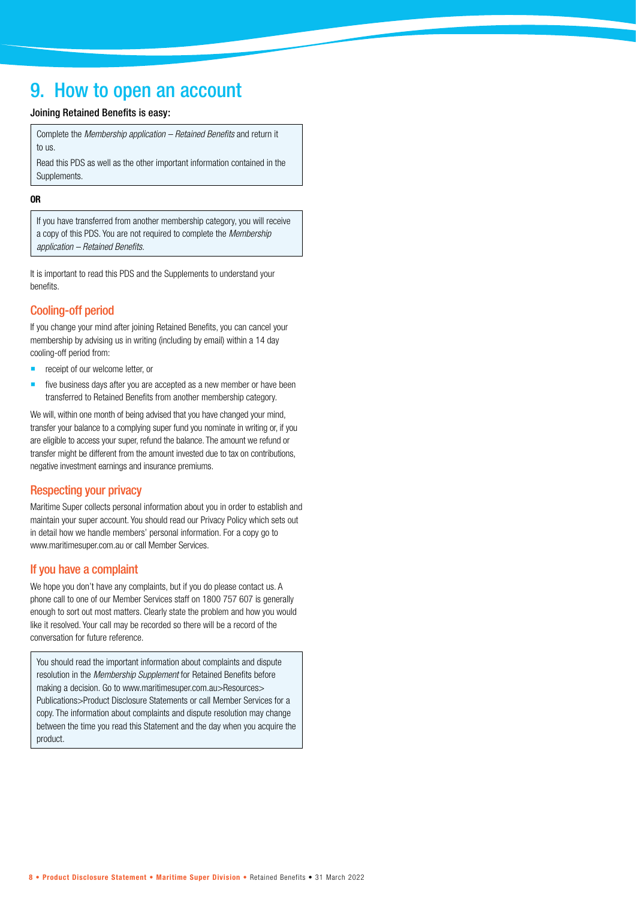# 9. How to open an account

#### Joining Retained Benefits is easy:

Complete the *Membership application – Retained Benefits* and return it to us.

Read this PDS as well as the other important information contained in the Supplements.

#### **OR**

If you have transferred from another membership category, you will receive a copy of this PDS. You are not required to complete the *Membership application – Retained Benefits.*

It is important to read this PDS and the Supplements to understand your benefits.

# Cooling-off period

If you change your mind after joining Retained Benefits, you can cancel your membership by advising us in writing (including by email) within a 14 day cooling-off period from:

- receipt of our welcome letter, or
- $\blacksquare$  five business days after you are accepted as a new member or have been transferred to Retained Benefits from another membership category.

We will, within one month of being advised that you have changed your mind, transfer your balance to a complying super fund you nominate in writing or, if you are eligible to access your super, refund the balance. The amount we refund or transfer might be different from the amount invested due to tax on contributions, negative investment earnings and insurance premiums.

# Respecting your privacy

Maritime Super collects personal information about you in order to establish and maintain your super account. You should read our Privacy Policy which sets out in detail how we handle members' personal information. For a copy go to www.maritimesuper.com.au or call Member Services.

# If you have a complaint

We hope you don't have any complaints, but if you do please contact us. A phone call to one of our Member Services staff on 1800 757 607 is generally enough to sort out most matters. Clearly state the problem and how you would like it resolved. Your call may be recorded so there will be a record of the conversation for future reference.

You should read the important information about complaints and dispute resolution in the *Membership Supplement* for Retained Benefits before making a decision. Go to www.maritimesuper.com.au>Resources> Publications>Product Disclosure Statements or call Member Services for a copy. The information about complaints and dispute resolution may change between the time you read this Statement and the day when you acquire the product.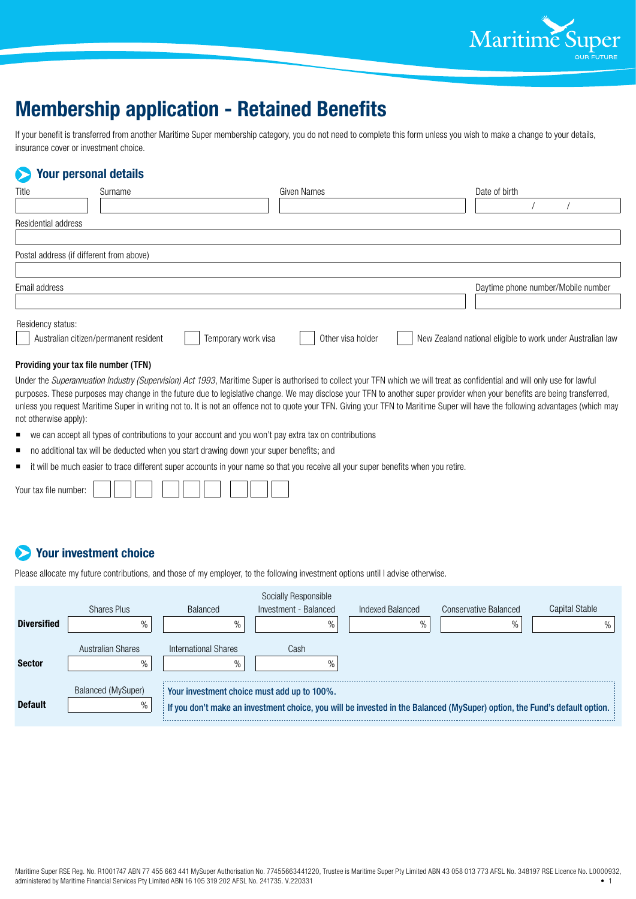

# **Membership application - Retained Benefits**

If your benefit is transferred from another Maritime Super membership category, you do not need to complete this form unless you wish to make a change to your details, insurance cover or investment choice.

# **Your personal details**

| Title                                    | Surname                               |                     | Given Names       | Date of birth                                              |
|------------------------------------------|---------------------------------------|---------------------|-------------------|------------------------------------------------------------|
|                                          |                                       |                     |                   |                                                            |
| Residential address                      |                                       |                     |                   |                                                            |
|                                          |                                       |                     |                   |                                                            |
| Postal address (if different from above) |                                       |                     |                   |                                                            |
|                                          |                                       |                     |                   |                                                            |
| Email address                            |                                       |                     |                   | Daytime phone number/Mobile number                         |
|                                          |                                       |                     |                   |                                                            |
| Residency status:                        | Australian citizen/permanent resident | Temporary work visa | Other visa holder | New Zealand national eligible to work under Australian law |

#### Providing your tax file number (TFN)

Under the *Superannuation Industry (Supervision) Act 1993*, Maritime Super is authorised to collect your TFN which we will treat as confidential and will only use for lawful purposes. These purposes may change in the future due to legislative change. We may disclose your TFN to another super provider when your benefits are being transferred, unless you request Maritime Super in writing not to. It is not an offence not to quote your TFN. Giving your TFN to Maritime Super will have the following advantages (which may not otherwise apply):

- we can accept all types of contributions to your account and you won't pay extra tax on contributions
- no additional tax will be deducted when you start drawing down your super benefits; and
- $\blacksquare$  it will be much easier to trace different super accounts in your name so that you receive all your super benefits when you retire.

| $\cdots$<br>$\sim$<br>numbor:<br>tax file number:<br>ш |  |  |  |  |  |  |
|--------------------------------------------------------|--|--|--|--|--|--|
|                                                        |  |  |  |  |  |  |

# **Your investment choice**

Please allocate my future contributions, and those of my employer, to the following investment options until I advise otherwise.

|                    |                            |                                             | Socially Responsible  |                  |                                                                                                                           |                |
|--------------------|----------------------------|---------------------------------------------|-----------------------|------------------|---------------------------------------------------------------------------------------------------------------------------|----------------|
|                    | <b>Shares Plus</b>         | Balanced                                    | Investment - Balanced | Indexed Balanced | Conservative Balanced                                                                                                     | Capital Stable |
| <b>Diversified</b> | $\%$                       | $\%$                                        | $\%$                  | $\%$             | $\%$                                                                                                                      |                |
| <b>Sector</b>      | Australian Shares<br>$\%$  | International Shares<br>$\frac{0}{0}$       | Cash                  |                  |                                                                                                                           |                |
| <b>Default</b>     | Balanced (MySuper)<br>$\%$ | Your investment choice must add up to 100%. |                       |                  | If you don't make an investment choice, you will be invested in the Balanced (MySuper) option, the Fund's default option. |                |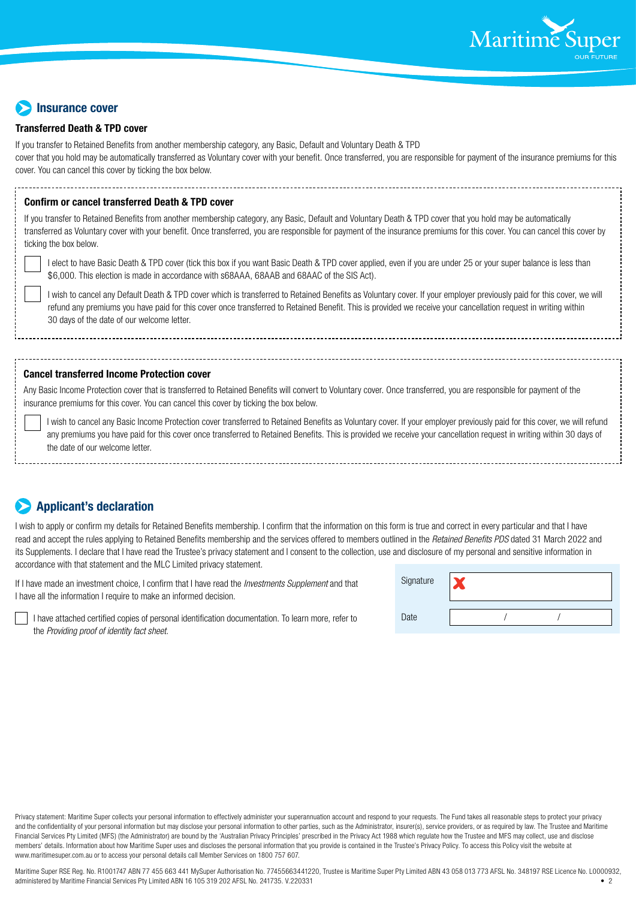

# **Insurance cover**

#### **Transferred Death & TPD cover**

If you transfer to Retained Benefits from another membership category, any Basic, Default and Voluntary Death & TPD cover that you hold may be automatically transferred as Voluntary cover with your benefit. Once transferred, you are responsible for payment of the insurance premiums for this cover. You can cancel this cover by ticking the box below.

#### **Confirm or cancel transferred Death & TPD cover**

If you transfer to Retained Benefits from another membership category, any Basic, Default and Voluntary Death & TPD cover that you hold may be automatically transferred as Voluntary cover with your benefit. Once transferred, you are responsible for payment of the insurance premiums for this cover. You can cancel this cover by ticking the box below.

I elect to have Basic Death & TPD cover (tick this box if you want Basic Death & TPD cover applied, even if you are under 25 or your super balance is less than \$6,000. This election is made in accordance with s68AAA, 68AAB and 68AAC of the SIS Act).

I wish to cancel any Default Death & TPD cover which is transferred to Retained Benefits as Voluntary cover. If your employer previously paid for this cover, we will refund any premiums you have paid for this cover once transferred to Retained Benefit. This is provided we receive your cancellation request in writing within 30 days of the date of our welcome letter.

#### **Cancel transferred Income Protection cover**

Any Basic Income Protection cover that is transferred to Retained Benefits will convert to Voluntary cover. Once transferred, you are responsible for payment of the insurance premiums for this cover. You can cancel this cover by ticking the box below.

I wish to cancel any Basic Income Protection cover transferred to Retained Benefits as Voluntary cover. If your employer previously paid for this cover, we will refund any premiums you have paid for this cover once transferred to Retained Benefits. This is provided we receive your cancellation request in writing within 30 days of the date of our welcome letter.

# **Applicant's declaration**

I wish to apply or confirm my details for Retained Benefits membership. I confirm that the information on this form is true and correct in every particular and that I have read and accept the rules applying to Retained Benefits membership and the services offered to members outlined in the *Retained Benefits PDS* dated 31 March 2022 and its Supplements. I declare that I have read the Trustee's privacy statement and I consent to the collection, use and disclosure of my personal and sensitive information in accordance with that statement and the MLC Limited privacy statement.

If I have made an investment choice, I confirm that I have read the *Investments Supplement* and that I have all the information I require to make an informed decision.

| Signature |  |  |
|-----------|--|--|
| Date      |  |  |

I have attached certified copies of personal identification documentation. To learn more, refer to the *Providing proof of identity fact sheet*.

Privacy statement: Maritime Super collects your personal information to effectively administer your superannuation account and respond to your requests. The Fund takes all reasonable steps to protect your privacy and the confidentiality of your personal information but may disclose your personal information to other parties, such as the Administrator, insurer(s), service providers, or as required by law. The Trustee and Maritime Financial Services Pty Limited (MFS) (the Administrator) are bound by the 'Australian Privacy Principles' prescribed in the Privacy Act 1988 which regulate how the Trustee and MFS may collect, use and disclose members' details. Information about how Maritime Super uses and discloses the personal information that you provide is contained in the Trustee's Privacy Policy. To access this Policy visit the website at www.maritimesuper.com.au or to access your personal details call Member Services on 1800 757 607.

Maritime Super RSE Reg. No. R1001747 ABN 77 455 663 441 MySuper Authorisation No. 77455663441220, Trustee is Maritime Super Pty Limited ABN 43 058 013 773 AFSL No. 348197 RSE Licence No. L0000932, administered by Maritime Financial Services Pty Limited ABN 16 105 319 202 AFSL No. 241735. V.220331 • 2018 19